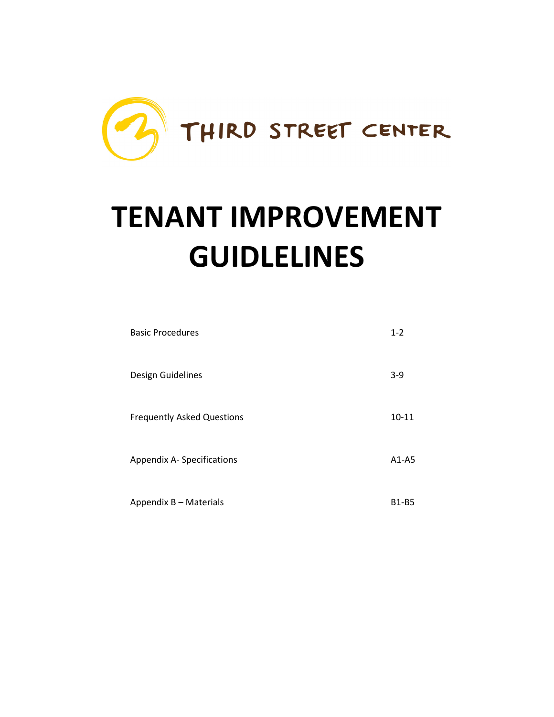

# **TENANT IMPROVEMENT GUIDLELINES**

| <b>Basic Procedures</b>           | $1 - 2$      |
|-----------------------------------|--------------|
| Design Guidelines                 | $3-9$        |
| <b>Frequently Asked Questions</b> | $10 - 11$    |
| Appendix A-Specifications         | $A1-A5$      |
| Appendix B - Materials            | <b>B1-B5</b> |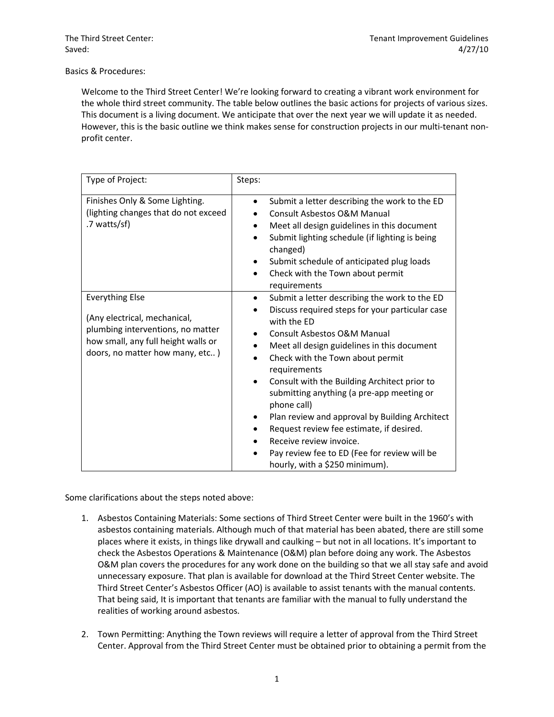Basics & Procedures:

Welcome to the Third Street Center! We're looking forward to creating a vibrant work environment for the whole third street community. The table below outlines the basic actions for projects of various sizes. This document is a living document. We anticipate that over the next year we will update it as needed. However, this is the basic outline we think makes sense for construction projects in our multi-tenant nonprofit center.

| Type of Project:                                                                                                                                                      | Steps:                                                                                                                                                                                                                                                                                                                                                                                                                                                                                                                                                                        |
|-----------------------------------------------------------------------------------------------------------------------------------------------------------------------|-------------------------------------------------------------------------------------------------------------------------------------------------------------------------------------------------------------------------------------------------------------------------------------------------------------------------------------------------------------------------------------------------------------------------------------------------------------------------------------------------------------------------------------------------------------------------------|
| Finishes Only & Some Lighting.<br>(lighting changes that do not exceed<br>.7 watts/sf)                                                                                | Submit a letter describing the work to the ED<br>$\bullet$<br>Consult Asbestos O&M Manual<br>Meet all design guidelines in this document<br>٠<br>Submit lighting schedule (if lighting is being<br>changed)<br>Submit schedule of anticipated plug loads<br>٠<br>Check with the Town about permit<br>٠<br>requirements                                                                                                                                                                                                                                                        |
| <b>Everything Else</b><br>(Any electrical, mechanical,<br>plumbing interventions, no matter<br>how small, any full height walls or<br>doors, no matter how many, etc) | Submit a letter describing the work to the ED<br>٠<br>Discuss required steps for your particular case<br>with the ED<br>Consult Asbestos O&M Manual<br>Meet all design guidelines in this document<br>Check with the Town about permit<br>requirements<br>Consult with the Building Architect prior to<br>submitting anything (a pre-app meeting or<br>phone call)<br>Plan review and approval by Building Architect<br>Request review fee estimate, if desired.<br>Receive review invoice.<br>Pay review fee to ED (Fee for review will be<br>hourly, with a \$250 minimum). |

Some clarifications about the steps noted above:

- 1. Asbestos Containing Materials: Some sections of Third Street Center were built in the 1960's with asbestos containing materials. Although much of that material has been abated, there are still some places where it exists, in things like drywall and caulking – but not in all locations. It's important to check the Asbestos Operations & Maintenance (O&M) plan before doing any work. The Asbestos O&M plan covers the procedures for any work done on the building so that we all stay safe and avoid unnecessary exposure. That plan is available for download at the Third Street Center website. The Third Street Center's Asbestos Officer (AO) is available to assist tenants with the manual contents. That being said, It is important that tenants are familiar with the manual to fully understand the realities of working around asbestos.
- 2. Town Permitting: Anything the Town reviews will require a letter of approval from the Third Street Center. Approval from the Third Street Center must be obtained prior to obtaining a permit from the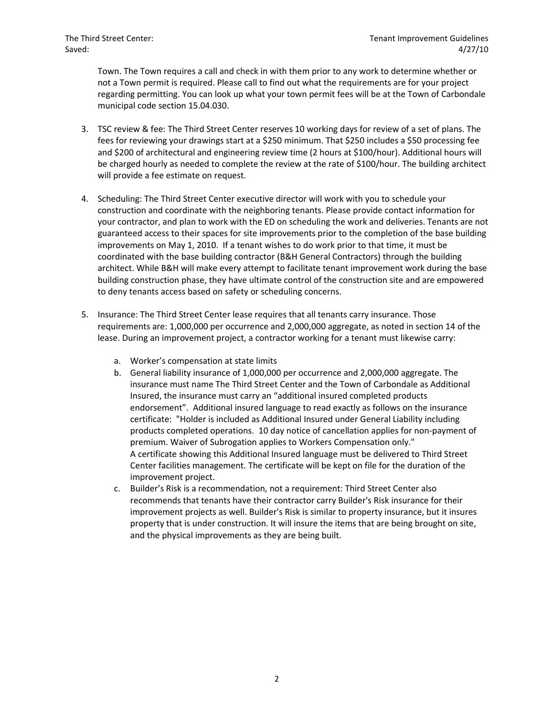Town. The Town requires a call and check in with them prior to any work to determine whether or not a Town permit is required. Please call to find out what the requirements are for your project regarding permitting. You can look up what your town permit fees will be at the Town of Carbondale municipal code section 15.04.030.

- 3. TSC review & fee: The Third Street Center reserves 10 working days for review of a set of plans. The fees for reviewing your drawings start at a \$250 minimum. That \$250 includes a \$50 processing fee and \$200 of architectural and engineering review time (2 hours at \$100/hour). Additional hours will be charged hourly as needed to complete the review at the rate of \$100/hour. The building architect will provide a fee estimate on request.
- 4. Scheduling: The Third Street Center executive director will work with you to schedule your construction and coordinate with the neighboring tenants. Please provide contact information for your contractor, and plan to work with the ED on scheduling the work and deliveries. Tenants are not guaranteed access to their spaces for site improvements prior to the completion of the base building improvements on May 1, 2010. If a tenant wishes to do work prior to that time, it must be coordinated with the base building contractor (B&H General Contractors) through the building architect. While B&H will make every attempt to facilitate tenant improvement work during the base building construction phase, they have ultimate control of the construction site and are empowered to deny tenants access based on safety or scheduling concerns.
- 5. Insurance: The Third Street Center lease requires that all tenants carry insurance. Those requirements are: 1,000,000 per occurrence and 2,000,000 aggregate, as noted in section 14 of the lease. During an improvement project, a contractor working for a tenant must likewise carry:
	- a. Worker's compensation at state limits
	- b. General liability insurance of 1,000,000 per occurrence and 2,000,000 aggregate. The insurance must name The Third Street Center and the Town of Carbondale as Additional Insured, the insurance must carry an "additional insured completed products endorsement". Additional insured language to read exactly as follows on the insurance certificate: "Holder is included as Additional Insured under General Liability including products completed operations. 10 day notice of cancellation applies for non-payment of premium. Waiver of Subrogation applies to Workers Compensation only." A certificate showing this Additional Insured language must be delivered to Third Street Center facilities management. The certificate will be kept on file for the duration of the improvement project.
	- c. Builder's Risk is a recommendation, not a requirement: Third Street Center also recommends that tenants have their contractor carry Builder's Risk insurance for their improvement projects as well. Builder's Risk is similar to property insurance, but it insures property that is under construction. It will insure the items that are being brought on site, and the physical improvements as they are being built.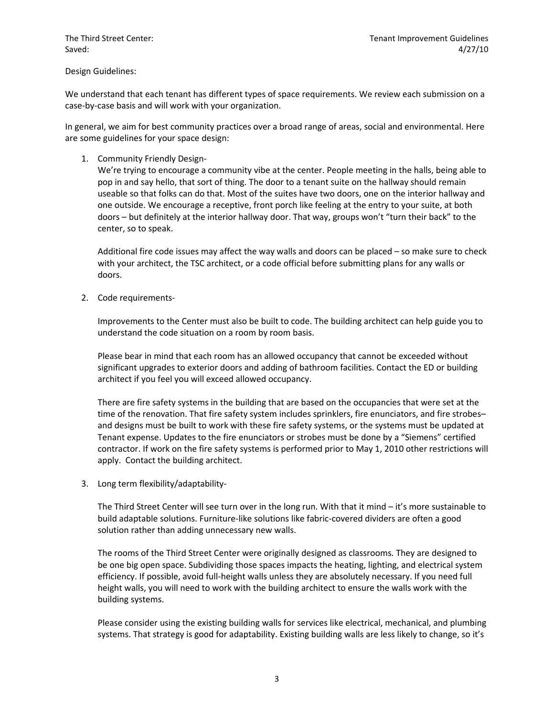### Design Guidelines:

We understand that each tenant has different types of space requirements. We review each submission on a case-by-case basis and will work with your organization.

In general, we aim for best community practices over a broad range of areas, social and environmental. Here are some guidelines for your space design:

# 1. Community Friendly Design-

We're trying to encourage a community vibe at the center. People meeting in the halls, being able to pop in and say hello, that sort of thing. The door to a tenant suite on the hallway should remain useable so that folks can do that. Most of the suites have two doors, one on the interior hallway and one outside. We encourage a receptive, front porch like feeling at the entry to your suite, at both doors – but definitely at the interior hallway door. That way, groups won't "turn their back" to the center, so to speak.

Additional fire code issues may affect the way walls and doors can be placed – so make sure to check with your architect, the TSC architect, or a code official before submitting plans for any walls or doors.

2. Code requirements-

Improvements to the Center must also be built to code. The building architect can help guide you to understand the code situation on a room by room basis.

Please bear in mind that each room has an allowed occupancy that cannot be exceeded without significant upgrades to exterior doors and adding of bathroom facilities. Contact the ED or building architect if you feel you will exceed allowed occupancy.

There are fire safety systems in the building that are based on the occupancies that were set at the time of the renovation. That fire safety system includes sprinklers, fire enunciators, and fire strobesand designs must be built to work with these fire safety systems, or the systems must be updated at Tenant expense. Updates to the fire enunciators or strobes must be done by a "Siemens" certified contractor. If work on the fire safety systems is performed prior to May 1, 2010 other restrictions will apply. Contact the building architect.

3. Long term flexibility/adaptability-

The Third Street Center will see turn over in the long run. With that it mind – it's more sustainable to build adaptable solutions. Furniture-like solutions like fabric-covered dividers are often a good solution rather than adding unnecessary new walls.

The rooms of the Third Street Center were originally designed as classrooms. They are designed to be one big open space. Subdividing those spaces impacts the heating, lighting, and electrical system efficiency. If possible, avoid full-height walls unless they are absolutely necessary. If you need full height walls, you will need to work with the building architect to ensure the walls work with the building systems.

Please consider using the existing building walls for services like electrical, mechanical, and plumbing systems. That strategy is good for adaptability. Existing building walls are less likely to change, so it's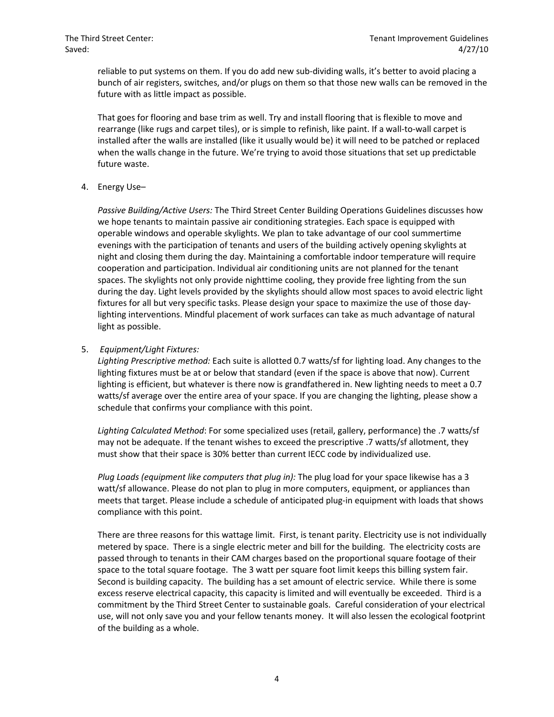reliable to put systems on them. If you do add new sub-dividing walls, it's better to avoid placing a bunch of air registers, switches, and/or plugs on them so that those new walls can be removed in the future with as little impact as possible.

That goes for flooring and base trim as well. Try and install flooring that is flexible to move and rearrange (like rugs and carpet tiles), or is simple to refinish, like paint. If a wall-to-wall carpet is installed after the walls are installed (like it usually would be) it will need to be patched or replaced when the walls change in the future. We're trying to avoid those situations that set up predictable future waste.

4. Energy Use–

*Passive Building/Active Users:* The Third Street Center Building Operations Guidelines discusses how we hope tenants to maintain passive air conditioning strategies. Each space is equipped with operable windows and operable skylights. We plan to take advantage of our cool summertime evenings with the participation of tenants and users of the building actively opening skylights at night and closing them during the day. Maintaining a comfortable indoor temperature will require cooperation and participation. Individual air conditioning units are not planned for the tenant spaces. The skylights not only provide nighttime cooling, they provide free lighting from the sun during the day. Light levels provided by the skylights should allow most spaces to avoid electric light fixtures for all but very specific tasks. Please design your space to maximize the use of those daylighting interventions. Mindful placement of work surfaces can take as much advantage of natural light as possible.

# 5. *Equipment/Light Fixtures:*

*Lighting Prescriptive method:* Each suite is allotted 0.7 watts/sf for lighting load. Any changes to the lighting fixtures must be at or below that standard (even if the space is above that now). Current lighting is efficient, but whatever is there now is grandfathered in. New lighting needs to meet a 0.7 watts/sf average over the entire area of your space. If you are changing the lighting, please show a schedule that confirms your compliance with this point.

*Lighting Calculated Method*: For some specialized uses (retail, gallery, performance) the .7 watts/sf may not be adequate. If the tenant wishes to exceed the prescriptive .7 watts/sf allotment, they must show that their space is 30% better than current IECC code by individualized use.

*Plug Loads (equipment like computers that plug in):* The plug load for your space likewise has a 3 watt/sf allowance. Please do not plan to plug in more computers, equipment, or appliances than meets that target. Please include a schedule of anticipated plug-in equipment with loads that shows compliance with this point.

There are three reasons for this wattage limit. First, is tenant parity. Electricity use is not individually metered by space. There is a single electric meter and bill for the building. The electricity costs are passed through to tenants in their CAM charges based on the proportional square footage of their space to the total square footage. The 3 watt per square foot limit keeps this billing system fair. Second is building capacity. The building has a set amount of electric service. While there is some excess reserve electrical capacity, this capacity is limited and will eventually be exceeded. Third is a commitment by the Third Street Center to sustainable goals. Careful consideration of your electrical use, will not only save you and your fellow tenants money. It will also lessen the ecological footprint of the building as a whole.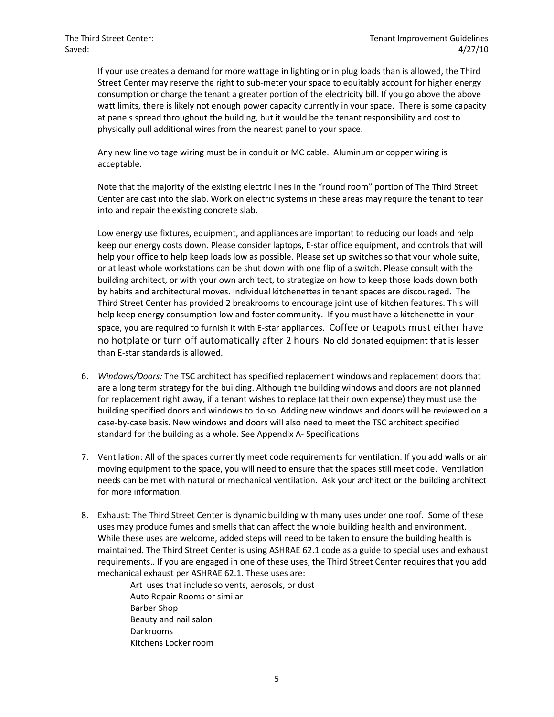If your use creates a demand for more wattage in lighting or in plug loads than is allowed, the Third Street Center may reserve the right to sub-meter your space to equitably account for higher energy consumption or charge the tenant a greater portion of the electricity bill. If you go above the above watt limits, there is likely not enough power capacity currently in your space. There is some capacity at panels spread throughout the building, but it would be the tenant responsibility and cost to physically pull additional wires from the nearest panel to your space.

Any new line voltage wiring must be in conduit or MC cable. Aluminum or copper wiring is acceptable.

Note that the majority of the existing electric lines in the "round room" portion of The Third Street Center are cast into the slab. Work on electric systems in these areas may require the tenant to tear into and repair the existing concrete slab.

Low energy use fixtures, equipment, and appliances are important to reducing our loads and help keep our energy costs down. Please consider laptops, E-star office equipment, and controls that will help your office to help keep loads low as possible. Please set up switches so that your whole suite, or at least whole workstations can be shut down with one flip of a switch. Please consult with the building architect, or with your own architect, to strategize on how to keep those loads down both by habits and architectural moves. Individual kitchenettes in tenant spaces are discouraged. The Third Street Center has provided 2 breakrooms to encourage joint use of kitchen features. This will help keep energy consumption low and foster community. If you must have a kitchenette in your space, you are required to furnish it with E-star appliances. Coffee or teapots must either have no hotplate or turn off automatically after 2 hours. No old donated equipment that is lesser than E-star standards is allowed.

- 6. *Windows/Doors:* The TSC architect has specified replacement windows and replacement doors that are a long term strategy for the building. Although the building windows and doors are not planned for replacement right away, if a tenant wishes to replace (at their own expense) they must use the building specified doors and windows to do so. Adding new windows and doors will be reviewed on a case-by-case basis. New windows and doors will also need to meet the TSC architect specified standard for the building as a whole. See Appendix A- Specifications
- 7. Ventilation: All of the spaces currently meet code requirements for ventilation. If you add walls or air moving equipment to the space, you will need to ensure that the spaces still meet code. Ventilation needs can be met with natural or mechanical ventilation. Ask your architect or the building architect for more information.
- 8. Exhaust: The Third Street Center is dynamic building with many uses under one roof. Some of these uses may produce fumes and smells that can affect the whole building health and environment. While these uses are welcome, added steps will need to be taken to ensure the building health is maintained. The Third Street Center is using ASHRAE 62.1 code as a guide to special uses and exhaust requirements.. If you are engaged in one of these uses, the Third Street Center requires that you add mechanical exhaust per ASHRAE 62.1. These uses are:

Art uses that include solvents, aerosols, or dust Auto Repair Rooms or similar Barber Shop Beauty and nail salon Darkrooms Kitchens Locker room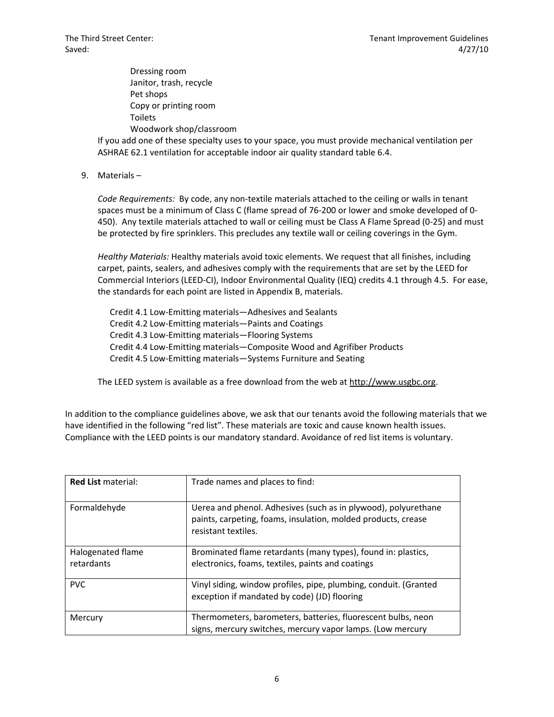Dressing room Janitor, trash, recycle Pet shops Copy or printing room Toilets Woodwork shop/classroom

If you add one of these specialty uses to your space, you must provide mechanical ventilation per ASHRAE 62.1 ventilation for acceptable indoor air quality standard table 6.4.

9. Materials –

*Code Requirements:* By code, any non-textile materials attached to the ceiling or walls in tenant spaces must be a minimum of Class C (flame spread of 76-200 or lower and smoke developed of 0- 450). Any textile materials attached to wall or ceiling must be Class A Flame Spread (0-25) and must be protected by fire sprinklers. This precludes any textile wall or ceiling coverings in the Gym.

*Healthy Materials:* Healthy materials avoid toxic elements. We request that all finishes, including carpet, paints, sealers, and adhesives comply with the requirements that are set by the LEED for Commercial Interiors (LEED-CI), Indoor Environmental Quality (IEQ) credits 4.1 through 4.5. For ease, the standards for each point are listed in Appendix B, materials.

Credit 4.1 Low-Emitting materials—Adhesives and Sealants Credit 4.2 Low-Emitting materials—Paints and Coatings Credit 4.3 Low-Emitting materials—Flooring Systems Credit 4.4 Low-Emitting materials—Composite Wood and Agrifiber Products Credit 4.5 Low-Emitting materials—Systems Furniture and Seating

The LEED system is available as a free download from the web at http://www.usgbc.org.

In addition to the compliance guidelines above, we ask that our tenants avoid the following materials that we have identified in the following "red list". These materials are toxic and cause known health issues. Compliance with the LEED points is our mandatory standard. Avoidance of red list items is voluntary.

| <b>Red List material:</b>       | Trade names and places to find:                                                                                                                        |
|---------------------------------|--------------------------------------------------------------------------------------------------------------------------------------------------------|
| Formaldehyde                    | Uerea and phenol. Adhesives (such as in plywood), polyurethane<br>paints, carpeting, foams, insulation, molded products, crease<br>resistant textiles. |
| Halogenated flame<br>retardants | Brominated flame retardants (many types), found in: plastics,<br>electronics, foams, textiles, paints and coatings                                     |
| <b>PVC</b>                      | Vinyl siding, window profiles, pipe, plumbing, conduit. (Granted<br>exception if mandated by code) (JD) flooring                                       |
| Mercury                         | Thermometers, barometers, batteries, fluorescent bulbs, neon<br>signs, mercury switches, mercury vapor lamps. (Low mercury                             |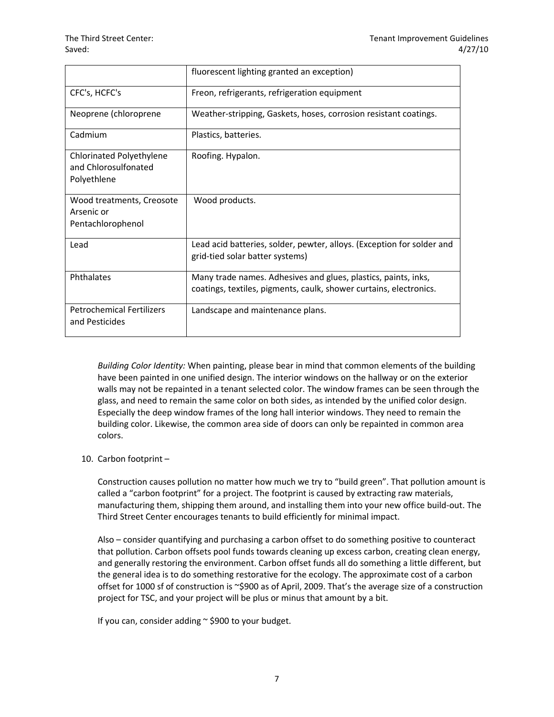|                                                                 | fluorescent lighting granted an exception)                                                                                           |
|-----------------------------------------------------------------|--------------------------------------------------------------------------------------------------------------------------------------|
| CFC's, HCFC's                                                   | Freon, refrigerants, refrigeration equipment                                                                                         |
| Neoprene (chloroprene                                           | Weather-stripping, Gaskets, hoses, corrosion resistant coatings.                                                                     |
| Cadmium                                                         | Plastics, batteries.                                                                                                                 |
| Chlorinated Polyethylene<br>and Chlorosulfonated<br>Polyethlene | Roofing. Hypalon.                                                                                                                    |
| Wood treatments, Creosote<br>Arsenic or<br>Pentachlorophenol    | Wood products.                                                                                                                       |
| Lead                                                            | Lead acid batteries, solder, pewter, alloys. (Exception for solder and<br>grid-tied solar batter systems)                            |
| Phthalates                                                      | Many trade names. Adhesives and glues, plastics, paints, inks,<br>coatings, textiles, pigments, caulk, shower curtains, electronics. |
| <b>Petrochemical Fertilizers</b><br>and Pesticides              | Landscape and maintenance plans.                                                                                                     |

*Building Color Identity:* When painting, please bear in mind that common elements of the building have been painted in one unified design. The interior windows on the hallway or on the exterior walls may not be repainted in a tenant selected color. The window frames can be seen through the glass, and need to remain the same color on both sides, as intended by the unified color design. Especially the deep window frames of the long hall interior windows. They need to remain the building color. Likewise, the common area side of doors can only be repainted in common area colors.

10. Carbon footprint –

Construction causes pollution no matter how much we try to "build green". That pollution amount is called a "carbon footprint" for a project. The footprint is caused by extracting raw materials, manufacturing them, shipping them around, and installing them into your new office build-out. The Third Street Center encourages tenants to build efficiently for minimal impact.

Also – consider quantifying and purchasing a carbon offset to do something positive to counteract that pollution. Carbon offsets pool funds towards cleaning up excess carbon, creating clean energy, and generally restoring the environment. Carbon offset funds all do something a little different, but the general idea is to do something restorative for the ecology. The approximate cost of a carbon offset for 1000 sf of construction is ~\$900 as of April, 2009. That's the average size of a construction project for TSC, and your project will be plus or minus that amount by a bit.

If you can, consider adding  $\sim$  \$900 to your budget.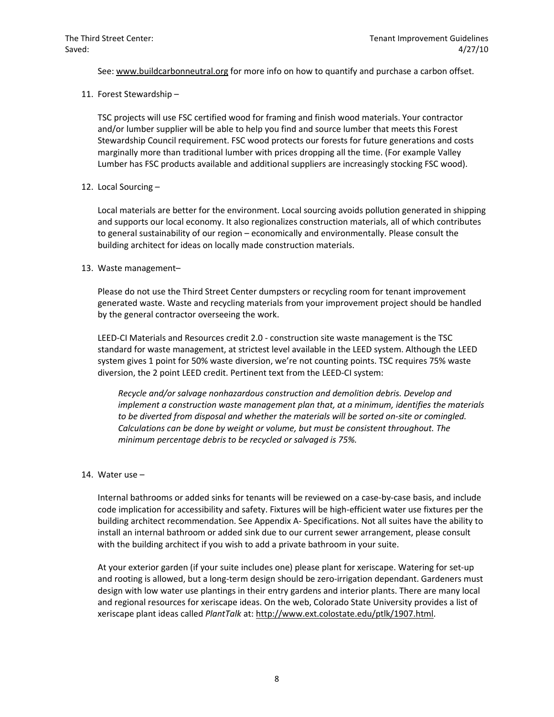See: www.buildcarbonneutral.org for more info on how to quantify and purchase a carbon offset.

11. Forest Stewardship –

TSC projects will use FSC certified wood for framing and finish wood materials. Your contractor and/or lumber supplier will be able to help you find and source lumber that meets this Forest Stewardship Council requirement. FSC wood protects our forests for future generations and costs marginally more than traditional lumber with prices dropping all the time. (For example Valley Lumber has FSC products available and additional suppliers are increasingly stocking FSC wood).

# 12. Local Sourcing –

Local materials are better for the environment. Local sourcing avoids pollution generated in shipping and supports our local economy. It also regionalizes construction materials, all of which contributes to general sustainability of our region – economically and environmentally. Please consult the building architect for ideas on locally made construction materials.

# 13. Waste management–

Please do not use the Third Street Center dumpsters or recycling room for tenant improvement generated waste. Waste and recycling materials from your improvement project should be handled by the general contractor overseeing the work.

LEED-CI Materials and Resources credit 2.0 - construction site waste management is the TSC standard for waste management, at strictest level available in the LEED system. Although the LEED system gives 1 point for 50% waste diversion, we're not counting points. TSC requires 75% waste diversion, the 2 point LEED credit. Pertinent text from the LEED-CI system:

*Recycle and/or salvage nonhazardous construction and demolition debris. Develop and implement a construction waste management plan that, at a minimum, identifies the materials to be diverted from disposal and whether the materials will be sorted on-site or comingled. Calculations can be done by weight or volume, but must be consistent throughout. The minimum percentage debris to be recycled or salvaged is 75%.* 

# 14. Water use –

Internal bathrooms or added sinks for tenants will be reviewed on a case-by-case basis, and include code implication for accessibility and safety. Fixtures will be high-efficient water use fixtures per the building architect recommendation. See Appendix A- Specifications. Not all suites have the ability to install an internal bathroom or added sink due to our current sewer arrangement, please consult with the building architect if you wish to add a private bathroom in your suite.

At your exterior garden (if your suite includes one) please plant for xeriscape. Watering for set-up and rooting is allowed, but a long-term design should be zero-irrigation dependant. Gardeners must design with low water use plantings in their entry gardens and interior plants. There are many local and regional resources for xeriscape ideas. On the web, Colorado State University provides a list of xeriscape plant ideas called *PlantTalk* at: http://www.ext.colostate.edu/ptlk/1907.html.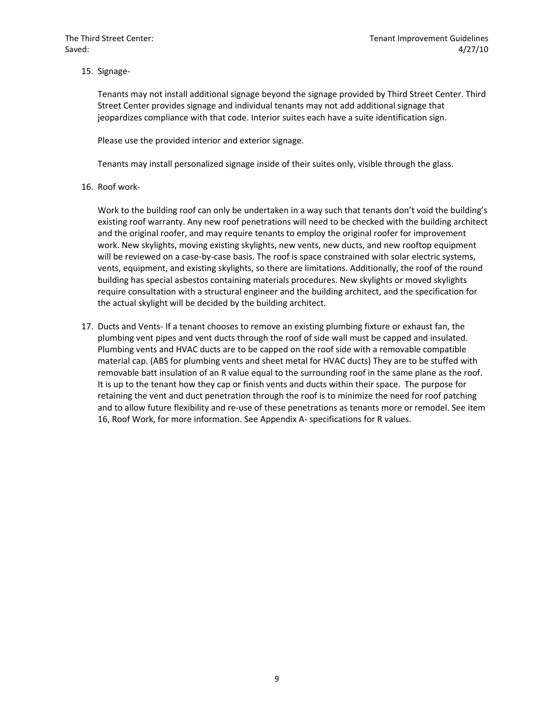15. Signage-

Tenants may not install additional signage beyond the signage provided by Third Street Center. Third Street Center provides signage and individual tenants may not add additional signage that jeopardizes compliance with that code. Interior suites each have a suite identification sign.

Please use the provided interior and exterior signage.

Tenants may install personalized signage inside of their suites only, visible through the glass.

16. Roof work-

Work to the building roof can only be undertaken in a way such that tenants don't void the building's existing roof warranty. Any new roof penetrations will need to be checked with the building architect and the original roofer, and may require tenants to employ the original roofer for improvement work. New skylights, moving existing skylights, new vents, new ducts, and new rooftop equipment will be reviewed on a case-by-case basis. The roof is space constrained with solar electric systems, vents, equipment, and existing skylights, so there are limitations. Additionally, the roof of the round building has special asbestos containing materials procedures. New skylights or moved skylights require consultation with a structural engineer and the building architect, and the specification for the actual skylight will be decided by the building architect.

17. Ducts and Vents- If a tenant chooses to remove an existing plumbing fixture or exhaust fan, the plumbing vent pipes and vent ducts through the roof of side wall must be capped and insulated. Plumbing vents and HVAC ducts are to be capped on the roof side with a removable compatible material cap. (ABS for plumbing vents and sheet metal for HVAC ducts) They are to be stuffed with removable batt insulation of an R value equal to the surrounding roof in the same plane as the roof. It is up to the tenant how they cap or finish vents and ducts within their space. The purpose for retaining the vent and duct penetration through the roof is to minimize the need for roof patching and to allow future flexibility and re-use of these penetrations as tenants more or remodel. See item 16, Roof Work, for more information. See Appendix A- specifications for R values.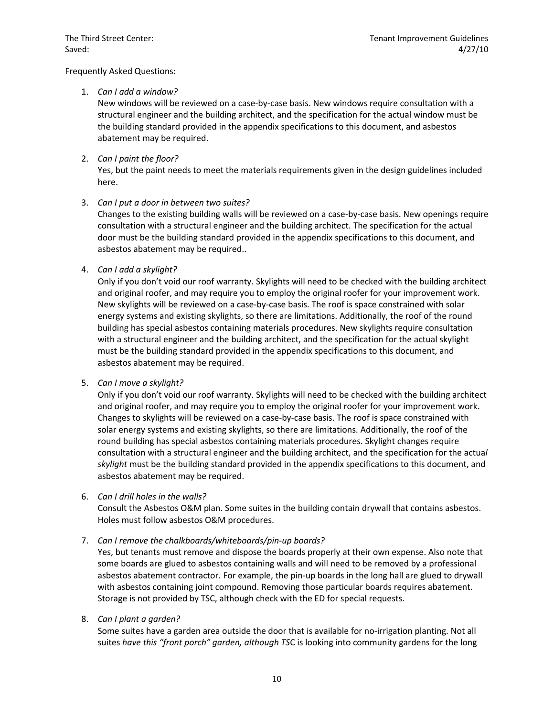### Frequently Asked Questions:

# 1. *Can I add a window?*

New windows will be reviewed on a case-by-case basis. New windows require consultation with a structural engineer and the building architect, and the specification for the actual window must be the building standard provided in the appendix specifications to this document, and asbestos abatement may be required.

# 2. *Can I paint the floor?*

Yes, but the paint needs to meet the materials requirements given in the design guidelines included here.

# 3. *Can I put a door in between two suites?*

Changes to the existing building walls will be reviewed on a case-by-case basis. New openings require consultation with a structural engineer and the building architect. The specification for the actual door must be the building standard provided in the appendix specifications to this document, and asbestos abatement may be required..

# 4. *Can I add a skylight?*

Only if you don't void our roof warranty. Skylights will need to be checked with the building architect and original roofer, and may require you to employ the original roofer for your improvement work. New skylights will be reviewed on a case-by-case basis. The roof is space constrained with solar energy systems and existing skylights, so there are limitations. Additionally, the roof of the round building has special asbestos containing materials procedures. New skylights require consultation with a structural engineer and the building architect, and the specification for the actual skylight must be the building standard provided in the appendix specifications to this document, and asbestos abatement may be required.

#### 5. *Can I move a skylight?*

Only if you don't void our roof warranty. Skylights will need to be checked with the building architect and original roofer, and may require you to employ the original roofer for your improvement work. Changes to skylights will be reviewed on a case-by-case basis. The roof is space constrained with solar energy systems and existing skylights, so there are limitations. Additionally, the roof of the round building has special asbestos containing materials procedures. Skylight changes require consultation with a structural engineer and the building architect, and the specification for the actua*l skylight* must be the building standard provided in the appendix specifications to this document, and asbestos abatement may be required.

#### 6. *Can I drill holes in the walls?*

Consult the Asbestos O&M plan. Some suites in the building contain drywall that contains asbestos. Holes must follow asbestos O&M procedures.

# 7. *Can I remove the chalkboards/whiteboards/pin-up boards?*

Yes, but tenants must remove and dispose the boards properly at their own expense. Also note that some boards are glued to asbestos containing walls and will need to be removed by a professional asbestos abatement contractor. For example, the pin-up boards in the long hall are glued to drywall with asbestos containing joint compound. Removing those particular boards requires abatement. Storage is not provided by TSC, although check with the ED for special requests.

# 8. *Can I plant a garden?*

Some suites have a garden area outside the door that is available for no-irrigation planting. Not all suites *have this "front porch" garden, although TS*C is looking into community gardens for the long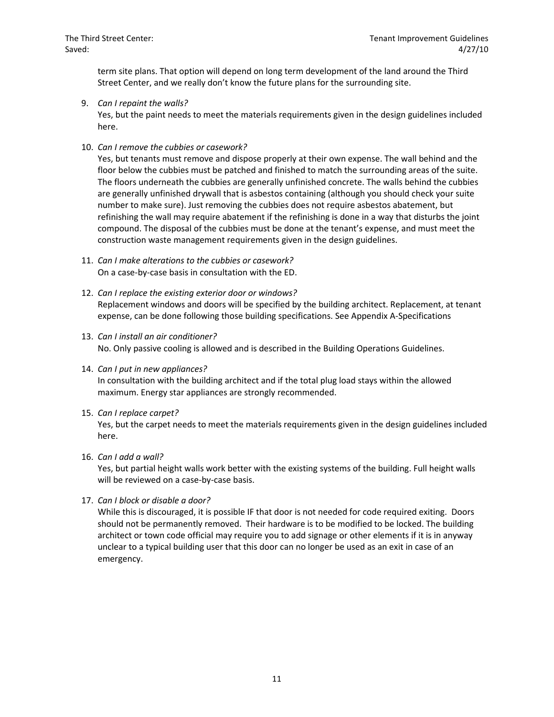term site plans. That option will depend on long term development of the land around the Third Street Center, and we really don't know the future plans for the surrounding site.

9. *Can I repaint the walls?* 

Yes, but the paint needs to meet the materials requirements given in the design guidelines included here.

10. *Can I remove the cubbies or casework?* 

Yes, but tenants must remove and dispose properly at their own expense. The wall behind and the floor below the cubbies must be patched and finished to match the surrounding areas of the suite. The floors underneath the cubbies are generally unfinished concrete. The walls behind the cubbies are generally unfinished drywall that is asbestos containing (although you should check your suite number to make sure). Just removing the cubbies does not require asbestos abatement, but refinishing the wall may require abatement if the refinishing is done in a way that disturbs the joint compound. The disposal of the cubbies must be done at the tenant's expense, and must meet the construction waste management requirements given in the design guidelines.

- 11. *Can I make alterations to the cubbies or casework?*  On a case-by-case basis in consultation with the ED.
- 12. *Can I replace the existing exterior door or windows?* Replacement windows and doors will be specified by the building architect. Replacement, at tenant expense, can be done following those building specifications. See Appendix A-Specifications
- 13. *Can I install an air conditioner?*  No. Only passive cooling is allowed and is described in the Building Operations Guidelines.
- 14. *Can I put in new appliances?* In consultation with the building architect and if the total plug load stays within the allowed maximum. Energy star appliances are strongly recommended.
- 15. *Can I replace carpet?*

Yes, but the carpet needs to meet the materials requirements given in the design guidelines included here.

16. *Can I add a wall?*

Yes, but partial height walls work better with the existing systems of the building. Full height walls will be reviewed on a case-by-case basis.

17. *Can I block or disable a door?*

While this is discouraged, it is possible IF that door is not needed for code required exiting. Doors should not be permanently removed. Their hardware is to be modified to be locked. The building architect or town code official may require you to add signage or other elements if it is in anyway unclear to a typical building user that this door can no longer be used as an exit in case of an emergency.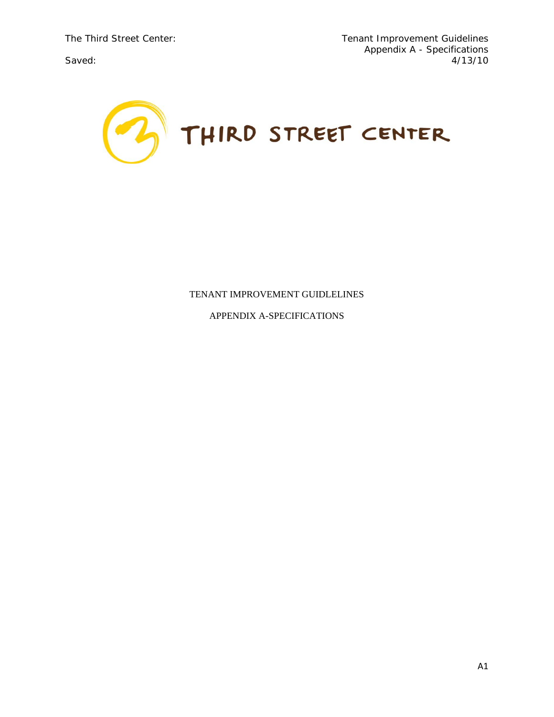

# TENANT IMPROVEMENT GUIDLELINES

APPENDIX A-SPECIFICATIONS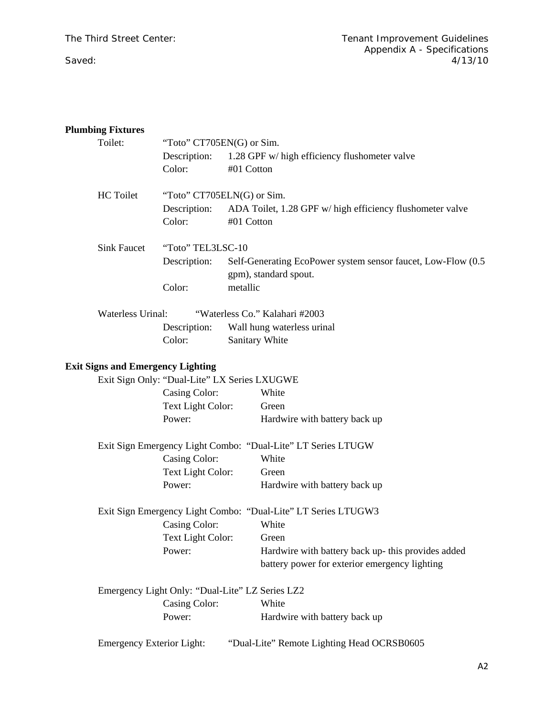# **Plumbing Fixtures**

| Toilet:                                  | "Toto" CT705EN(G) or Sim.                       |            |                                                               |  |
|------------------------------------------|-------------------------------------------------|------------|---------------------------------------------------------------|--|
|                                          | Description:                                    |            | 1.28 GPF w/ high efficiency flushometer valve                 |  |
|                                          | Color:                                          | #01 Cotton |                                                               |  |
| <b>HC</b> Toilet                         | "Toto" CT705ELN(G) or Sim.                      |            |                                                               |  |
|                                          | Description:                                    |            | ADA Toilet, 1.28 GPF w/ high efficiency flushometer valve     |  |
|                                          | Color:                                          | #01 Cotton |                                                               |  |
| <b>Sink Faucet</b>                       | "Toto" TEL3LSC-10                               |            |                                                               |  |
|                                          | Description:                                    |            | Self-Generating EcoPower system sensor faucet, Low-Flow (0.5  |  |
|                                          |                                                 |            | gpm), standard spout.                                         |  |
|                                          | Color:                                          | metallic   |                                                               |  |
| <b>Waterless Urinal:</b>                 |                                                 |            | "Waterless Co." Kalahari #2003                                |  |
|                                          | Description:                                    |            | Wall hung waterless urinal                                    |  |
|                                          | Color:                                          |            | Sanitary White                                                |  |
| <b>Exit Signs and Emergency Lighting</b> |                                                 |            |                                                               |  |
|                                          | Exit Sign Only: "Dual-Lite" LX Series LXUGWE    |            |                                                               |  |
|                                          | Casing Color:                                   |            | White                                                         |  |
|                                          | Text Light Color:                               |            | Green                                                         |  |
|                                          | Power:                                          |            | Hardwire with battery back up                                 |  |
|                                          |                                                 |            | Exit Sign Emergency Light Combo: "Dual-Lite" LT Series LTUGW  |  |
|                                          | Casing Color:                                   |            | White                                                         |  |
|                                          | Text Light Color:                               |            | Green                                                         |  |
|                                          | Power:                                          |            | Hardwire with battery back up                                 |  |
|                                          |                                                 |            | Exit Sign Emergency Light Combo: "Dual-Lite" LT Series LTUGW3 |  |
|                                          | Casing Color:                                   |            | White                                                         |  |
|                                          | Text Light Color:                               |            | Green                                                         |  |
|                                          | Power:                                          |            | Hardwire with battery back up- this provides added            |  |
|                                          |                                                 |            | battery power for exterior emergency lighting                 |  |
|                                          | Emergency Light Only: "Dual-Lite" LZ Series LZ2 |            |                                                               |  |
|                                          | Casing Color:                                   |            | White                                                         |  |
|                                          | Power:                                          |            | Hardwire with battery back up                                 |  |
| Emergency Exterior Light:                |                                                 |            | "Dual-Lite" Remote Lighting Head OCRSB0605                    |  |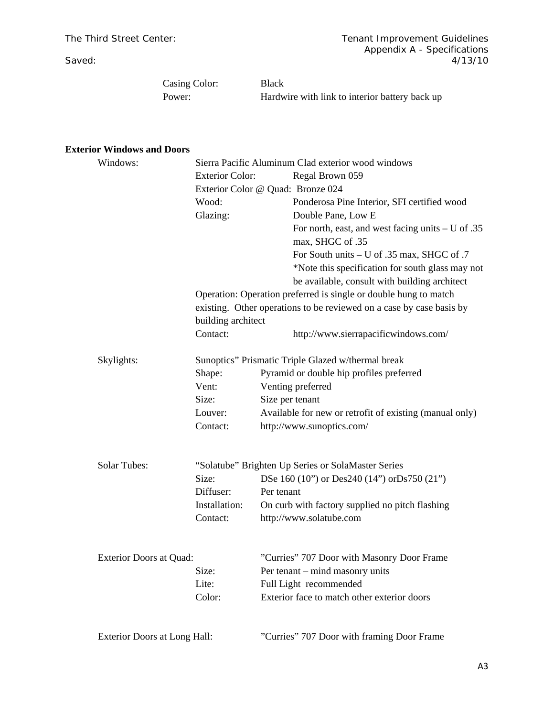Casing Color: Black

Power: Hardwire with link to interior battery back up

# **Exterior Windows and Doors**

| Windows:                       | Sierra Pacific Aluminum Clad exterior wood windows                   |                                                         |  |  |  |
|--------------------------------|----------------------------------------------------------------------|---------------------------------------------------------|--|--|--|
|                                | <b>Exterior Color:</b>                                               | Regal Brown 059                                         |  |  |  |
|                                | Exterior Color @ Quad: Bronze 024                                    |                                                         |  |  |  |
|                                | Wood:                                                                | Ponderosa Pine Interior, SFI certified wood             |  |  |  |
|                                | Glazing:                                                             | Double Pane, Low E                                      |  |  |  |
|                                |                                                                      | For north, east, and west facing units $-$ U of .35     |  |  |  |
|                                |                                                                      | max, SHGC of .35                                        |  |  |  |
|                                |                                                                      | For South units $- U$ of .35 max, SHGC of .7            |  |  |  |
|                                |                                                                      | *Note this specification for south glass may not        |  |  |  |
|                                |                                                                      | be available, consult with building architect           |  |  |  |
|                                | Operation: Operation preferred is single or double hung to match     |                                                         |  |  |  |
|                                | existing. Other operations to be reviewed on a case by case basis by |                                                         |  |  |  |
|                                | building architect                                                   |                                                         |  |  |  |
|                                | Contact:                                                             | http://www.sierrapacificwindows.com/                    |  |  |  |
| Skylights:                     | Sunoptics" Prismatic Triple Glazed w/thermal break                   |                                                         |  |  |  |
|                                | Shape:                                                               | Pyramid or double hip profiles preferred                |  |  |  |
|                                | Vent:                                                                | Venting preferred                                       |  |  |  |
|                                | Size:                                                                | Size per tenant                                         |  |  |  |
|                                | Louver:                                                              | Available for new or retrofit of existing (manual only) |  |  |  |
|                                | Contact:                                                             | http://www.sunoptics.com/                               |  |  |  |
|                                |                                                                      |                                                         |  |  |  |
| <b>Solar Tubes:</b>            |                                                                      | "Solatube" Brighten Up Series or SolaMaster Series      |  |  |  |
|                                | Size:                                                                | DSe 160 (10") or Des240 (14") orDs750 (21")             |  |  |  |
|                                | Diffuser:                                                            | Per tenant                                              |  |  |  |
|                                | Installation:                                                        | On curb with factory supplied no pitch flashing         |  |  |  |
|                                | Contact:                                                             | http://www.solatube.com                                 |  |  |  |
| <b>Exterior Doors at Quad:</b> |                                                                      | "Curries" 707 Door with Masonry Door Frame              |  |  |  |
|                                | Size:                                                                | Per tenant – mind masonry units                         |  |  |  |
|                                | Lite:                                                                | Full Light recommended                                  |  |  |  |
|                                | Color:                                                               | Exterior face to match other exterior doors             |  |  |  |
|                                |                                                                      |                                                         |  |  |  |
| Exterior Doors at Long Hall:   |                                                                      | "Curries" 707 Door with framing Door Frame              |  |  |  |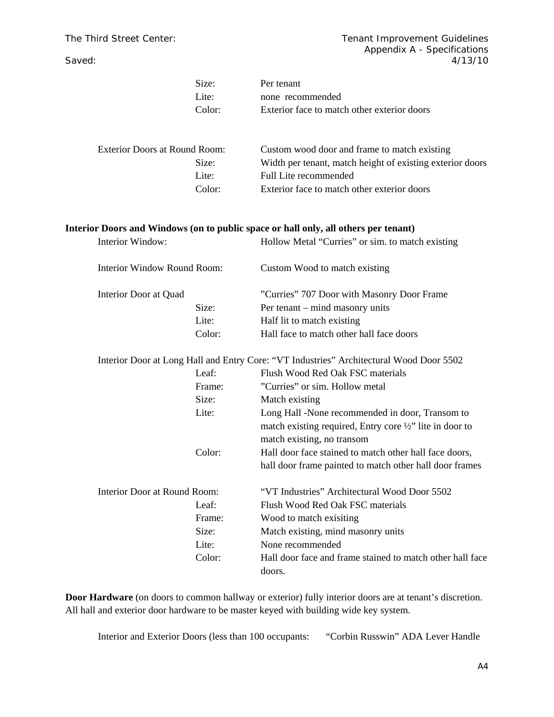|                              | Size:<br>Lite:                       | Per tenant<br>none recommended                                                                                                                       |
|------------------------------|--------------------------------------|------------------------------------------------------------------------------------------------------------------------------------------------------|
|                              | Color:                               | Exterior face to match other exterior doors                                                                                                          |
|                              | <b>Exterior Doors at Round Room:</b> | Custom wood door and frame to match existing                                                                                                         |
|                              | Size:                                | Width per tenant, match height of existing exterior doors                                                                                            |
|                              | Lite:                                | Full Lite recommended                                                                                                                                |
|                              | Color:                               | Exterior face to match other exterior doors                                                                                                          |
|                              |                                      | Interior Doors and Windows (on to public space or hall only, all others per tenant)                                                                  |
| Interior Window:             |                                      | Hollow Metal "Curries" or sim. to match existing                                                                                                     |
| Interior Window Round Room:  |                                      | Custom Wood to match existing                                                                                                                        |
| Interior Door at Quad        |                                      | "Curries" 707 Door with Masonry Door Frame                                                                                                           |
|                              | Size:                                | Per tenant – mind masonry units                                                                                                                      |
|                              | Lite:                                | Half lit to match existing                                                                                                                           |
|                              | Color:                               | Hall face to match other hall face doors                                                                                                             |
|                              |                                      | Interior Door at Long Hall and Entry Core: "VT Industries" Architectural Wood Door 5502                                                              |
|                              | Leaf:                                | Flush Wood Red Oak FSC materials                                                                                                                     |
|                              | Frame:                               | "Curries" or sim. Hollow metal                                                                                                                       |
|                              | Size:                                | Match existing                                                                                                                                       |
|                              | Lite:                                | Long Hall -None recommended in door, Transom to<br>match existing required, Entry core $\frac{1}{2}$ " lite in door to<br>match existing, no transom |
|                              | Color:                               | Hall door face stained to match other hall face doors,<br>hall door frame painted to match other hall door frames                                    |
| Interior Door at Round Room: |                                      | "VT Industries" Architectural Wood Door 5502                                                                                                         |
|                              | Leaf:                                | Flush Wood Red Oak FSC materials                                                                                                                     |
|                              | Frame:                               | Wood to match exisiting                                                                                                                              |
|                              | Size:                                | Match existing, mind masonry units                                                                                                                   |
|                              | Lite:                                | None recommended                                                                                                                                     |
|                              | Color:                               | Hall door face and frame stained to match other hall face                                                                                            |
|                              |                                      | doors.                                                                                                                                               |

**Door Hardware** (on doors to common hallway or exterior) fully interior doors are at tenant's discretion. All hall and exterior door hardware to be master keyed with building wide key system.

Interior and Exterior Doors (less than 100 occupants: "Corbin Russwin" ADA Lever Handle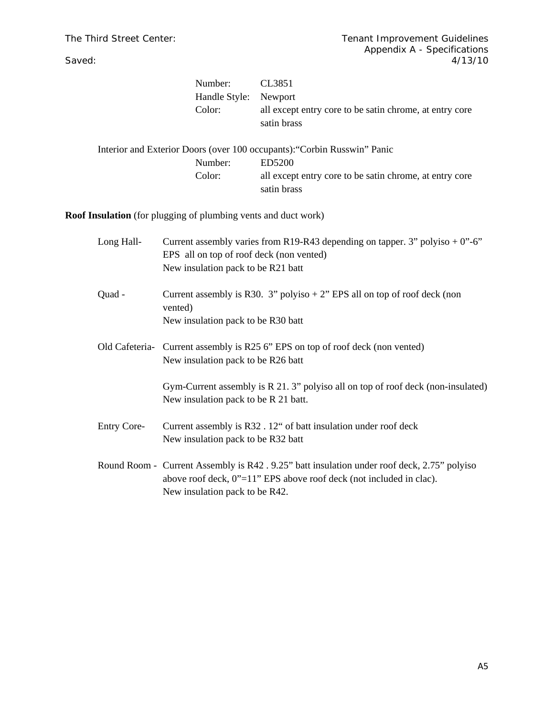| Number:                                                                  | CL3851                                                                 |
|--------------------------------------------------------------------------|------------------------------------------------------------------------|
| Handle Style:                                                            | Newport                                                                |
| Color:                                                                   | all except entry core to be satin chrome, at entry core<br>satin brass |
| Interior and Exterior Doors (over 100 occupants): "Corbin Russwin" Panic |                                                                        |
| Number:                                                                  | ED5200                                                                 |
| Color:                                                                   | all except entry core to be satin chrome, at entry core                |

satin brass

**Roof Insulation** (for plugging of plumbing vents and duct work)

| Long Hall-         | Current assembly varies from R19-R43 depending on tapper. 3" polyiso $+0$ "-6"<br>EPS all on top of roof deck (non vented)<br>New insulation pack to be R21 batt                                        |
|--------------------|---------------------------------------------------------------------------------------------------------------------------------------------------------------------------------------------------------|
| Quad -             | Current assembly is R30. 3" polyiso $+ 2$ " EPS all on top of roof deck (non<br>vented)<br>New insulation pack to be R30 batt                                                                           |
|                    | Old Cafeteria- Current assembly is R25 6" EPS on top of roof deck (non vented)<br>New insulation pack to be R26 batt                                                                                    |
|                    | Gym-Current assembly is R 21.3" polyiso all on top of roof deck (non-insulated)<br>New insulation pack to be R 21 batt.                                                                                 |
| <b>Entry Core-</b> | Current assembly is R32. 12" of batt insulation under roof deck<br>New insulation pack to be R32 batt                                                                                                   |
|                    | Round Room - Current Assembly is R42 . 9.25" batt insulation under roof deck, 2.75" polyiso<br>above roof deck, $0$ "=11" EPS above roof deck (not included in clac).<br>New insulation pack to be R42. |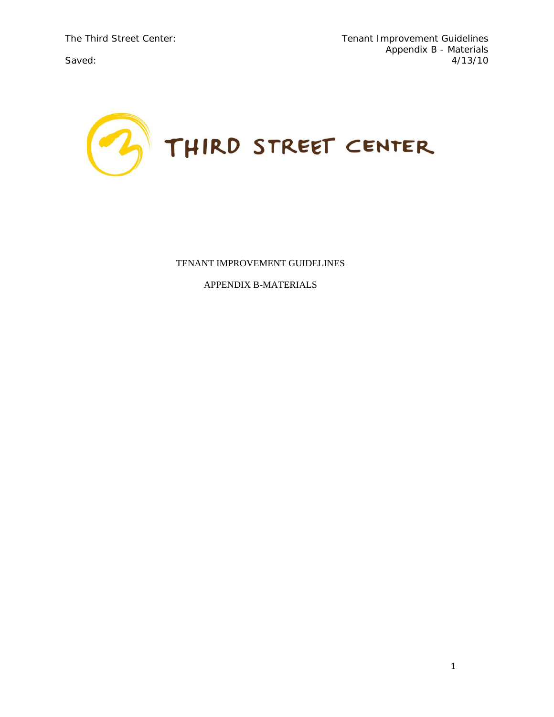

# TENANT IMPROVEMENT GUIDELINES

APPENDIX B-MATERIALS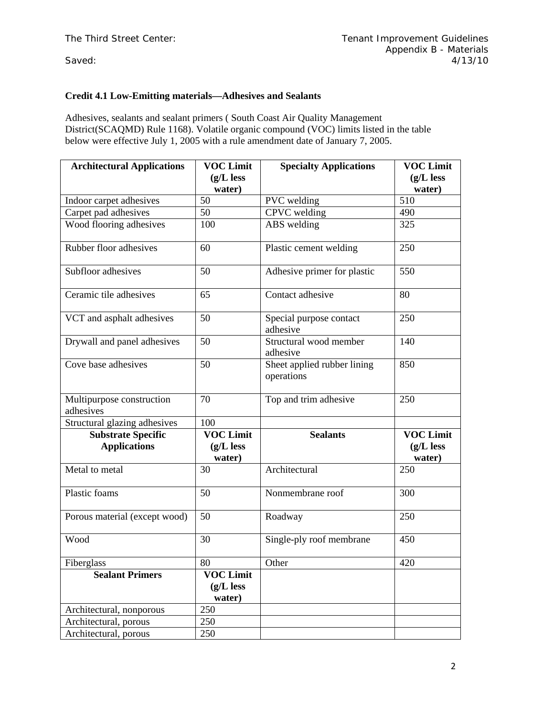# **Credit 4.1 Low-Emitting materials—Adhesives and Sealants**

Adhesives, sealants and sealant primers ( South Coast Air Quality Management District(SCAQMD) Rule 1168). Volatile organic compound (VOC) limits listed in the table below were effective July 1, 2005 with a rule amendment date of January 7, 2005.

| <b>Architectural Applications</b>      | <b>VOC Limit</b> | <b>Specialty Applications</b>             | <b>VOC Limit</b> |
|----------------------------------------|------------------|-------------------------------------------|------------------|
|                                        | $(g/L$ less      |                                           | $(g/L$ less      |
|                                        | water)           |                                           | water)           |
| Indoor carpet adhesives                | 50               | PVC welding                               | 510              |
| Carpet pad adhesives                   | 50               | <b>CPVC</b> welding                       | 490              |
| Wood flooring adhesives                | 100              | ABS welding                               | 325              |
| Rubber floor adhesives                 | 60               | Plastic cement welding                    | 250              |
| Subfloor adhesives                     | 50               | Adhesive primer for plastic               | 550              |
| Ceramic tile adhesives                 | 65               | Contact adhesive                          | 80               |
| VCT and asphalt adhesives              | 50               | Special purpose contact<br>adhesive       | 250              |
| Drywall and panel adhesives            | 50               | Structural wood member<br>adhesive        | 140              |
| Cove base adhesives                    | 50               | Sheet applied rubber lining<br>operations | 850              |
| Multipurpose construction<br>adhesives | 70               | Top and trim adhesive                     | 250              |
| Structural glazing adhesives           | 100              |                                           |                  |
| <b>Substrate Specific</b>              | <b>VOC Limit</b> | <b>Sealants</b>                           | <b>VOC Limit</b> |
| <b>Applications</b>                    | $(g/L$ less      |                                           | $(g/L$ less      |
|                                        | water)           |                                           | water)           |
| Metal to metal                         | 30               | Architectural                             | 250              |
| Plastic foams                          | 50               | Nonmembrane roof                          | 300              |
| Porous material (except wood)          | 50               | Roadway                                   | 250              |
| Wood                                   | 30               | Single-ply roof membrane                  | 450              |
| Fiberglass                             | 80               | Other                                     | 420              |
| <b>Sealant Primers</b>                 | <b>VOC Limit</b> |                                           |                  |
|                                        | $(g/L$ less      |                                           |                  |
|                                        | water)           |                                           |                  |
| Architectural, nonporous               | 250              |                                           |                  |
| Architectural, porous                  | 250              |                                           |                  |
| Architectural, porous                  | 250              |                                           |                  |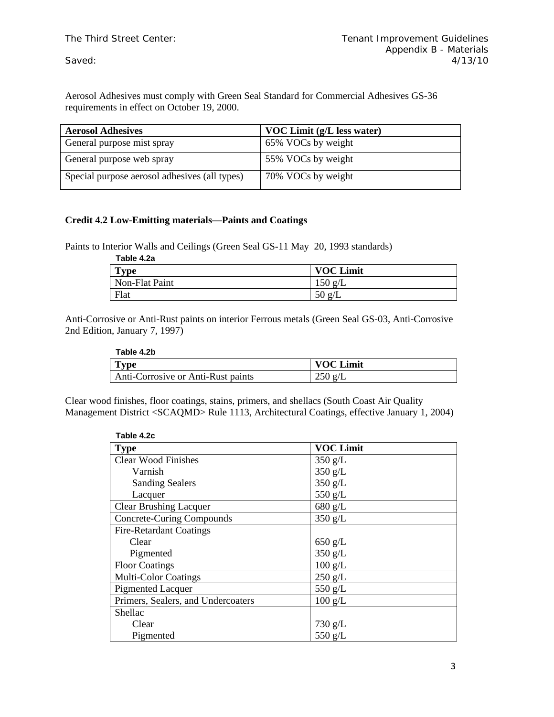Aerosol Adhesives must comply with Green Seal Standard for Commercial Adhesives GS-36 requirements in effect on October 19, 2000.

| <b>Aerosol Adhesives</b>                      | VOC Limit (g/L less water) |
|-----------------------------------------------|----------------------------|
| General purpose mist spray                    | 65% VOCs by weight         |
| General purpose web spray                     | 55% VOCs by weight         |
| Special purpose aerosol adhesives (all types) | 70% VOCs by weight         |

# **Credit 4.2 Low-Emitting materials—Paints and Coatings**

Paints to Interior Walls and Ceilings (Green Seal GS-11 May 20, 1993 standards)

| Table 4.2a |  |
|------------|--|
|------------|--|

| Tvpe           | <b>VOC Limit</b>       |
|----------------|------------------------|
| Non-Flat Paint | $150 \text{ g}/I$<br>┶ |
| Flat           | 50g/                   |

Anti-Corrosive or Anti-Rust paints on interior Ferrous metals (Green Seal GS-03, Anti-Corrosive 2nd Edition, January 7, 1997)

| Table 4.2b                         |                  |
|------------------------------------|------------------|
| $T$ vpe                            | <b>VOC Limit</b> |
| Anti-Corrosive or Anti-Rust paints | 250 g/L          |

Clear wood finishes, floor coatings, stains, primers, and shellacs (South Coast Air Quality Management District <SCAQMD> Rule 1113, Architectural Coatings, effective January 1, 2004)

| Table 4.2c                         |                   |  |
|------------------------------------|-------------------|--|
| <b>Type</b>                        | <b>VOC Limit</b>  |  |
| <b>Clear Wood Finishes</b>         | $350$ g/L         |  |
| Varnish                            | $350$ g/L         |  |
| <b>Sanding Sealers</b>             | $350$ g/L         |  |
| Lacquer                            | 550 g/L           |  |
| <b>Clear Brushing Lacquer</b>      | 680 g/L           |  |
| <b>Concrete-Curing Compounds</b>   | $350$ g/L         |  |
| <b>Fire-Retardant Coatings</b>     |                   |  |
| Clear                              | $650$ g/L         |  |
| Pigmented                          | 350 g/L           |  |
| <b>Floor Coatings</b>              | $100$ g/L         |  |
| <b>Multi-Color Coatings</b>        | 250 g/L           |  |
| <b>Pigmented Lacquer</b>           | 550 g/L           |  |
| Primers, Sealers, and Undercoaters | $100 \text{ g/L}$ |  |
| Shellac                            |                   |  |
| Clear                              | $730$ g/L         |  |
| Pigmented                          | 550 g/L           |  |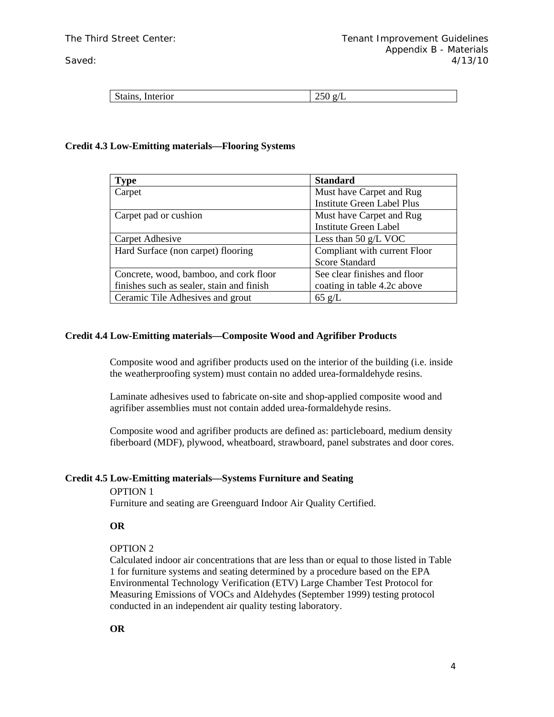| Stains.<br>-------<br>interior | --<br>___ |
|--------------------------------|-----------|
|                                |           |

# **Credit 4.3 Low-Emitting materials—Flooring Systems**

| Type                                      | <b>Standard</b>                   |  |
|-------------------------------------------|-----------------------------------|--|
| Carpet                                    | Must have Carpet and Rug          |  |
|                                           | <b>Institute Green Label Plus</b> |  |
| Carpet pad or cushion                     | Must have Carpet and Rug          |  |
|                                           | <b>Institute Green Label</b>      |  |
| Carpet Adhesive                           | Less than 50 $g/L$ VOC            |  |
| Hard Surface (non carpet) flooring        | Compliant with current Floor      |  |
|                                           | <b>Score Standard</b>             |  |
| Concrete, wood, bamboo, and cork floor    | See clear finishes and floor      |  |
| finishes such as sealer, stain and finish | coating in table 4.2c above       |  |
| Ceramic Tile Adhesives and grout          | $65 \text{ g/L}$                  |  |

# **Credit 4.4 Low-Emitting materials—Composite Wood and Agrifiber Products**

Composite wood and agrifiber products used on the interior of the building (i.e. inside the weatherproofing system) must contain no added urea-formaldehyde resins.

Laminate adhesives used to fabricate on-site and shop-applied composite wood and agrifiber assemblies must not contain added urea-formaldehyde resins.

Composite wood and agrifiber products are defined as: particleboard, medium density fiberboard (MDF), plywood, wheatboard, strawboard, panel substrates and door cores.

# **Credit 4.5 Low-Emitting materials—Systems Furniture and Seating**

#### OPTION 1

Furniture and seating are Greenguard Indoor Air Quality Certified.

# **OR**

# OPTION 2

Calculated indoor air concentrations that are less than or equal to those listed in Table 1 for furniture systems and seating determined by a procedure based on the EPA Environmental Technology Verification (ETV) Large Chamber Test Protocol for Measuring Emissions of VOCs and Aldehydes (September 1999) testing protocol conducted in an independent air quality testing laboratory.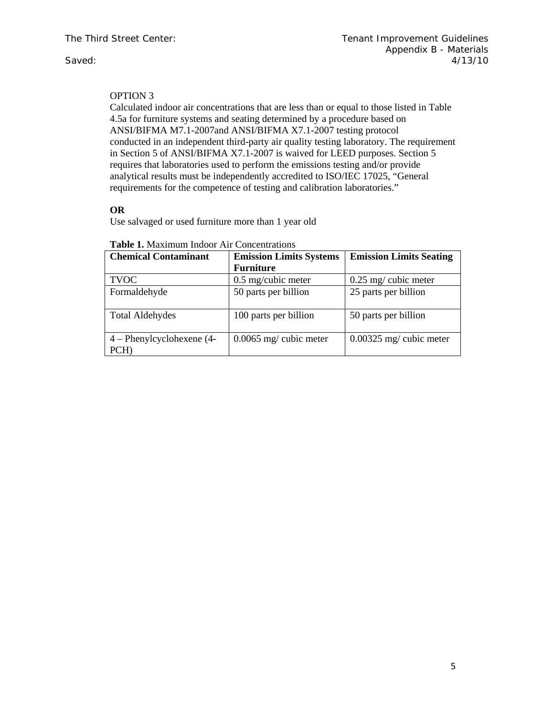# OPTION 3

Calculated indoor air concentrations that are less than or equal to those listed in Table 4.5a for furniture systems and seating determined by a procedure based on ANSI/BIFMA M7.1-2007and ANSI/BIFMA X7.1-2007 testing protocol conducted in an independent third-party air quality testing laboratory. The requirement in Section 5 of ANSI/BIFMA X7.1-2007 is waived for LEED purposes. Section 5 requires that laboratories used to perform the emissions testing and/or provide analytical results must be independently accredited to ISO/IEC 17025, "General requirements for the competence of testing and calibration laboratories."

# **OR**

Use salvaged or used furniture more than 1 year old

| <b>Chemical Contaminant</b>         | <b>Emission Limits Systems</b><br><b>Furniture</b> | <b>Emission Limits Seating</b> |
|-------------------------------------|----------------------------------------------------|--------------------------------|
| <b>TVOC</b>                         | $0.5$ mg/cubic meter                               | $0.25$ mg/ cubic meter         |
| Formaldehyde                        | 50 parts per billion                               | 25 parts per billion           |
| <b>Total Aldehydes</b>              | 100 parts per billion                              | 50 parts per billion           |
| $4$ – Phenylcyclohexene (4-<br>PCH) | $0.0065$ mg/ cubic meter                           | $0.00325$ mg/ cubic meter      |

#### **Table 1.** Maximum Indoor Air Concentrations